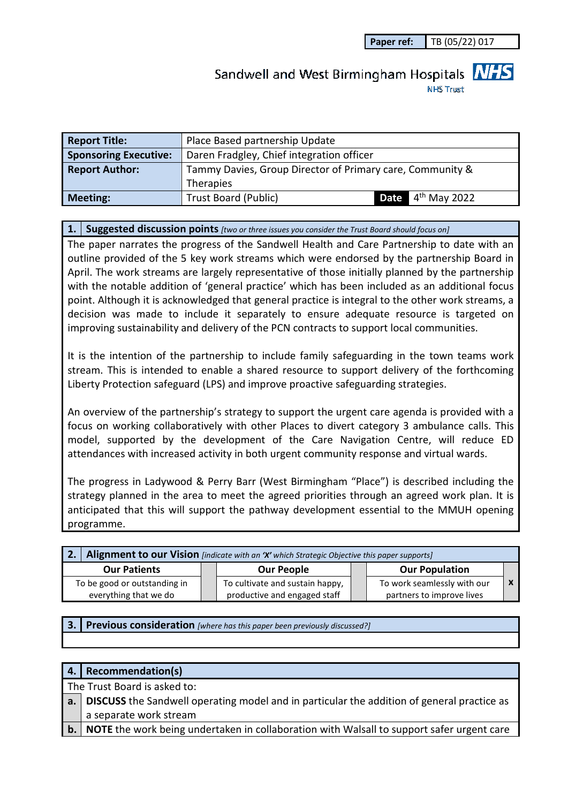**Paper ref:** TB (05/22) 017

# Sandwell and West Birmingham Hospitals **NHS**

**NHS Trust** 

| <b>Report Title:</b>         | Place Based partnership Update                            |  |  |  |  |  |
|------------------------------|-----------------------------------------------------------|--|--|--|--|--|
| <b>Sponsoring Executive:</b> | Daren Fradgley, Chief integration officer                 |  |  |  |  |  |
| <b>Report Author:</b>        | Tammy Davies, Group Director of Primary care, Community & |  |  |  |  |  |
|                              | <b>Therapies</b>                                          |  |  |  |  |  |
| <b>Meeting:</b>              | <b>Date</b> $4th$ May 2022<br><b>Trust Board (Public)</b> |  |  |  |  |  |

#### **1. Suggested discussion points** *[two or three issues you consider the Trust Board should focus on]*

The paper narrates the progress of the Sandwell Health and Care Partnership to date with an outline provided of the 5 key work streams which were endorsed by the partnership Board in April. The work streams are largely representative of those initially planned by the partnership with the notable addition of 'general practice' which has been included as an additional focus point. Although it is acknowledged that general practice is integral to the other work streams, a decision was made to include it separately to ensure adequate resource is targeted on improving sustainability and delivery of the PCN contracts to support local communities.

It is the intention of the partnership to include family safeguarding in the town teams work stream. This is intended to enable a shared resource to support delivery of the forthcoming Liberty Protection safeguard (LPS) and improve proactive safeguarding strategies.

An overview of the partnership's strategy to support the urgent care agenda is provided with a focus on working collaboratively with other Places to divert category 3 ambulance calls. This model, supported by the development of the Care Navigation Centre, will reduce ED attendances with increased activity in both urgent community response and virtual wards.

The progress in Ladywood & Perry Barr (West Birmingham "Place") is described including the strategy planned in the area to meet the agreed priorities through an agreed work plan. It is anticipated that this will support the pathway development essential to the MMUH opening programme.

| 2. Alignment to our Vision [indicate with an 'X' which Strategic Objective this paper supports] |  |                                                                 |  |                                                          |  |  |
|-------------------------------------------------------------------------------------------------|--|-----------------------------------------------------------------|--|----------------------------------------------------------|--|--|
| <b>Our Patients</b>                                                                             |  | <b>Our People</b>                                               |  | <b>Our Population</b>                                    |  |  |
| To be good or outstanding in<br>everything that we do                                           |  | To cultivate and sustain happy,<br>productive and engaged staff |  | To work seamlessly with our<br>partners to improve lives |  |  |

**3. Previous consideration** *[where has this paper been previously discussed?]*

#### **4. Recommendation(s)**

The Trust Board is asked to:

- **a. DISCUSS** the Sandwell operating model and in particular the addition of general practice as a separate work stream
- **b. NOTE** the work being undertaken in collaboration with Walsall to support safer urgent care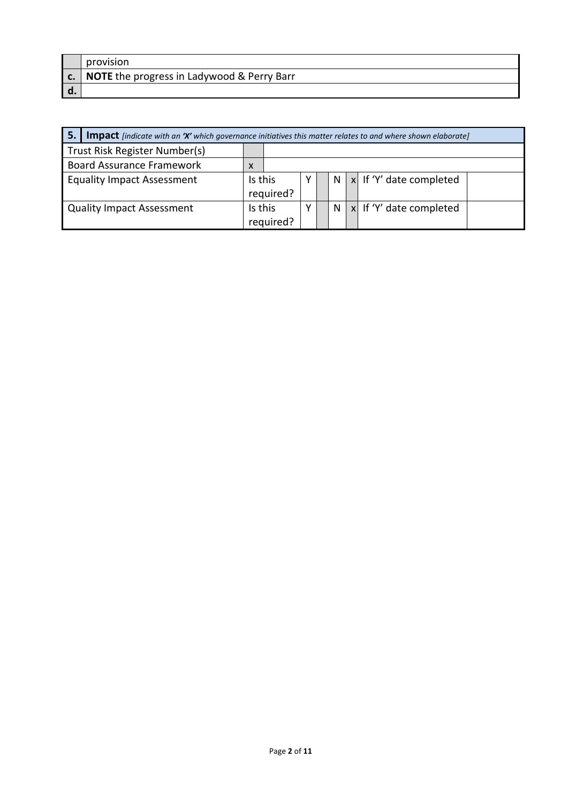| provision                                                     |
|---------------------------------------------------------------|
| $\vert$ c. $\vert$ NOTE the progress in Ladywood & Perry Barr |
|                                                               |

| 5.<br><b>Impact</b> [indicate with an 'X' which governance initiatives this matter relates to and where shown elaborate] |           |  |  |   |  |                                       |
|--------------------------------------------------------------------------------------------------------------------------|-----------|--|--|---|--|---------------------------------------|
| Trust Risk Register Number(s)                                                                                            |           |  |  |   |  |                                       |
| <b>Board Assurance Framework</b>                                                                                         | X         |  |  |   |  |                                       |
| <b>Equality Impact Assessment</b>                                                                                        | Is this   |  |  | N |  | $\vert x \vert$ If 'Y' date completed |
|                                                                                                                          | required? |  |  |   |  |                                       |
| <b>Quality Impact Assessment</b>                                                                                         | Is this   |  |  | N |  | $ x $ If 'Y' date completed           |
|                                                                                                                          | required? |  |  |   |  |                                       |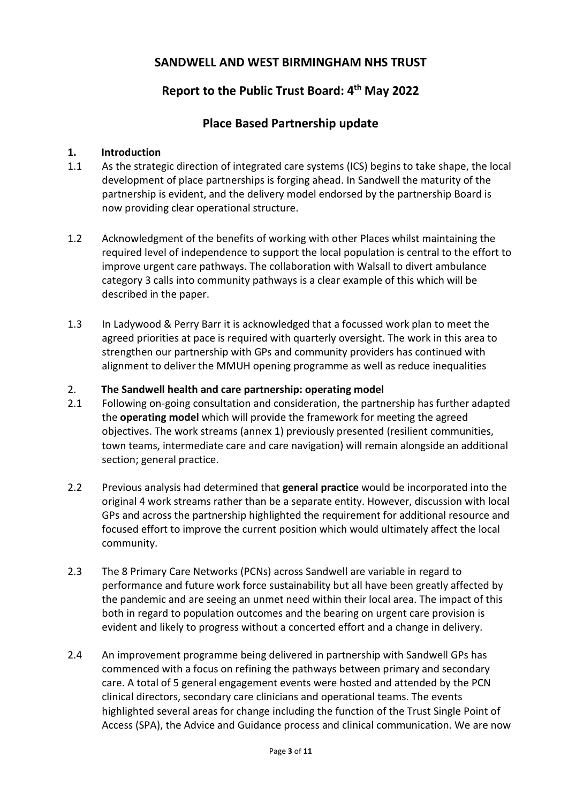# **SANDWELL AND WEST BIRMINGHAM NHS TRUST**

# **Report to the Public Trust Board: 4th May 2022**

## **Place Based Partnership update**

#### **1. Introduction**

- 1.1 As the strategic direction of integrated care systems (ICS) begins to take shape, the local development of place partnerships is forging ahead. In Sandwell the maturity of the partnership is evident, and the delivery model endorsed by the partnership Board is now providing clear operational structure.
- 1.2 Acknowledgment of the benefits of working with other Places whilst maintaining the required level of independence to support the local population is central to the effort to improve urgent care pathways. The collaboration with Walsall to divert ambulance category 3 calls into community pathways is a clear example of this which will be described in the paper.
- 1.3 In Ladywood & Perry Barr it is acknowledged that a focussed work plan to meet the agreed priorities at pace is required with quarterly oversight. The work in this area to strengthen our partnership with GPs and community providers has continued with alignment to deliver the MMUH opening programme as well as reduce inequalities

#### 2. **The Sandwell health and care partnership: operating model**

- 2.1 Following on-going consultation and consideration, the partnership has further adapted the **operating model** which will provide the framework for meeting the agreed objectives. The work streams (annex 1) previously presented (resilient communities, town teams, intermediate care and care navigation) will remain alongside an additional section; general practice.
- 2.2 Previous analysis had determined that **general practice** would be incorporated into the original 4 work streams rather than be a separate entity. However, discussion with local GPs and across the partnership highlighted the requirement for additional resource and focused effort to improve the current position which would ultimately affect the local community.
- 2.3 The 8 Primary Care Networks (PCNs) across Sandwell are variable in regard to performance and future work force sustainability but all have been greatly affected by the pandemic and are seeing an unmet need within their local area. The impact of this both in regard to population outcomes and the bearing on urgent care provision is evident and likely to progress without a concerted effort and a change in delivery.
- 2.4 An improvement programme being delivered in partnership with Sandwell GPs has commenced with a focus on refining the pathways between primary and secondary care. A total of 5 general engagement events were hosted and attended by the PCN clinical directors, secondary care clinicians and operational teams. The events highlighted several areas for change including the function of the Trust Single Point of Access (SPA), the Advice and Guidance process and clinical communication. We are now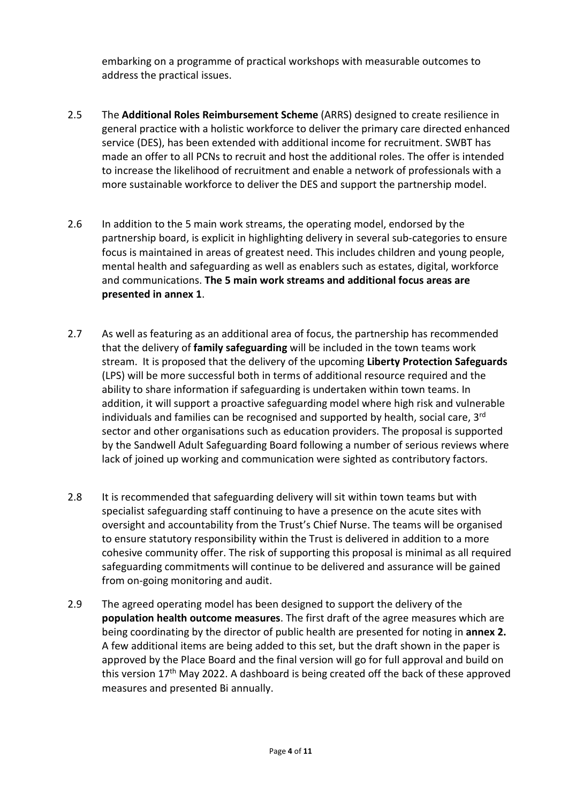embarking on a programme of practical workshops with measurable outcomes to address the practical issues.

- 2.5 The **Additional Roles Reimbursement Scheme** (ARRS) designed to create resilience in general practice with a holistic workforce to deliver the primary care directed enhanced service (DES), has been extended with additional income for recruitment. SWBT has made an offer to all PCNs to recruit and host the additional roles. The offer is intended to increase the likelihood of recruitment and enable a network of professionals with a more sustainable workforce to deliver the DES and support the partnership model.
- 2.6 In addition to the 5 main work streams, the operating model, endorsed by the partnership board, is explicit in highlighting delivery in several sub-categories to ensure focus is maintained in areas of greatest need. This includes children and young people, mental health and safeguarding as well as enablers such as estates, digital, workforce and communications. **The 5 main work streams and additional focus areas are presented in annex 1**.
- 2.7 As well as featuring as an additional area of focus, the partnership has recommended that the delivery of **family safeguarding** will be included in the town teams work stream. It is proposed that the delivery of the upcoming **Liberty Protection Safeguards** (LPS) will be more successful both in terms of additional resource required and the ability to share information if safeguarding is undertaken within town teams. In addition, it will support a proactive safeguarding model where high risk and vulnerable individuals and families can be recognised and supported by health, social care,  $3<sup>rd</sup>$ sector and other organisations such as education providers. The proposal is supported by the Sandwell Adult Safeguarding Board following a number of serious reviews where lack of joined up working and communication were sighted as contributory factors.
- 2.8 It is recommended that safeguarding delivery will sit within town teams but with specialist safeguarding staff continuing to have a presence on the acute sites with oversight and accountability from the Trust's Chief Nurse. The teams will be organised to ensure statutory responsibility within the Trust is delivered in addition to a more cohesive community offer. The risk of supporting this proposal is minimal as all required safeguarding commitments will continue to be delivered and assurance will be gained from on-going monitoring and audit.
- 2.9 The agreed operating model has been designed to support the delivery of the **population health outcome measures**. The first draft of the agree measures which are being coordinating by the director of public health are presented for noting in **annex 2.**  A few additional items are being added to this set, but the draft shown in the paper is approved by the Place Board and the final version will go for full approval and build on this version 17<sup>th</sup> May 2022. A dashboard is being created off the back of these approved measures and presented Bi annually.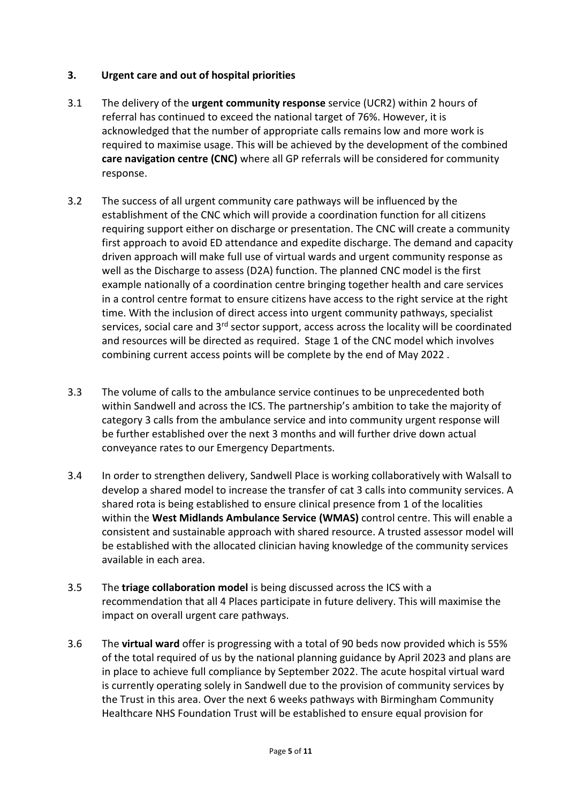### **3. Urgent care and out of hospital priorities**

- 3.1 The delivery of the **urgent community response** service (UCR2) within 2 hours of referral has continued to exceed the national target of 76%. However, it is acknowledged that the number of appropriate calls remains low and more work is required to maximise usage. This will be achieved by the development of the combined **care navigation centre (CNC)** where all GP referrals will be considered for community response.
- 3.2 The success of all urgent community care pathways will be influenced by the establishment of the CNC which will provide a coordination function for all citizens requiring support either on discharge or presentation. The CNC will create a community first approach to avoid ED attendance and expedite discharge. The demand and capacity driven approach will make full use of virtual wards and urgent community response as well as the Discharge to assess (D2A) function. The planned CNC model is the first example nationally of a coordination centre bringing together health and care services in a control centre format to ensure citizens have access to the right service at the right time. With the inclusion of direct access into urgent community pathways, specialist services, social care and 3<sup>rd</sup> sector support, access across the locality will be coordinated and resources will be directed as required. Stage 1 of the CNC model which involves combining current access points will be complete by the end of May 2022 .
- 3.3 The volume of calls to the ambulance service continues to be unprecedented both within Sandwell and across the ICS. The partnership's ambition to take the majority of category 3 calls from the ambulance service and into community urgent response will be further established over the next 3 months and will further drive down actual conveyance rates to our Emergency Departments.
- 3.4 In order to strengthen delivery, Sandwell Place is working collaboratively with Walsall to develop a shared model to increase the transfer of cat 3 calls into community services. A shared rota is being established to ensure clinical presence from 1 of the localities within the **West Midlands Ambulance Service (WMAS)** control centre. This will enable a consistent and sustainable approach with shared resource. A trusted assessor model will be established with the allocated clinician having knowledge of the community services available in each area.
- 3.5 The **triage collaboration model** is being discussed across the ICS with a recommendation that all 4 Places participate in future delivery. This will maximise the impact on overall urgent care pathways.
- 3.6 The **virtual ward** offer is progressing with a total of 90 beds now provided which is 55% of the total required of us by the national planning guidance by April 2023 and plans are in place to achieve full compliance by September 2022. The acute hospital virtual ward is currently operating solely in Sandwell due to the provision of community services by the Trust in this area. Over the next 6 weeks pathways with Birmingham Community Healthcare NHS Foundation Trust will be established to ensure equal provision for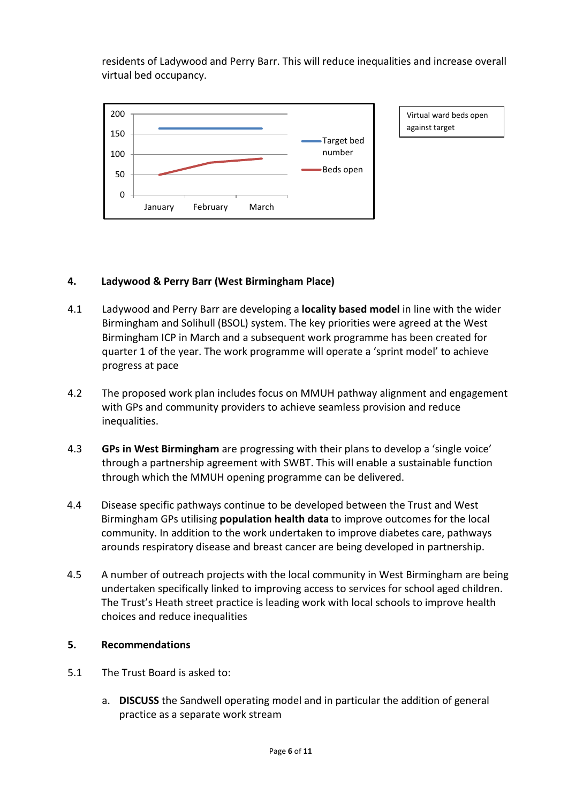residents of Ladywood and Perry Barr. This will reduce inequalities and increase overall virtual bed occupancy.



Virtual ward beds open against target

## **4. Ladywood & Perry Barr (West Birmingham Place)**

- 4.1 Ladywood and Perry Barr are developing a **locality based model** in line with the wider Birmingham and Solihull (BSOL) system. The key priorities were agreed at the West Birmingham ICP in March and a subsequent work programme has been created for quarter 1 of the year. The work programme will operate a 'sprint model' to achieve progress at pace
- 4.2 The proposed work plan includes focus on MMUH pathway alignment and engagement with GPs and community providers to achieve seamless provision and reduce inequalities.
- 4.3 **GPs in West Birmingham** are progressing with their plans to develop a 'single voice' through a partnership agreement with SWBT. This will enable a sustainable function through which the MMUH opening programme can be delivered.
- 4.4 Disease specific pathways continue to be developed between the Trust and West Birmingham GPs utilising **population health data** to improve outcomes for the local community. In addition to the work undertaken to improve diabetes care, pathways arounds respiratory disease and breast cancer are being developed in partnership.
- 4.5 A number of outreach projects with the local community in West Birmingham are being undertaken specifically linked to improving access to services for school aged children. The Trust's Heath street practice is leading work with local schools to improve health choices and reduce inequalities

#### **5. Recommendations**

- 5.1 The Trust Board is asked to:
	- a. **DISCUSS** the Sandwell operating model and in particular the addition of general practice as a separate work stream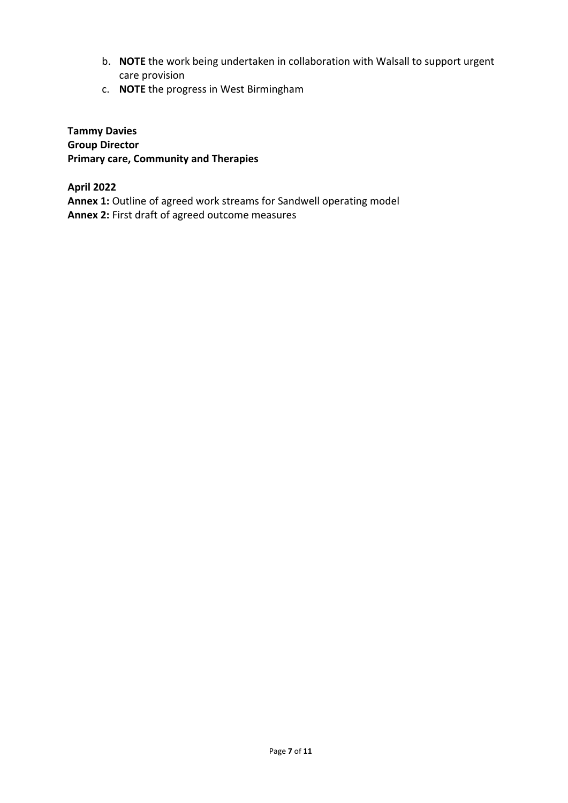- b. **NOTE** the work being undertaken in collaboration with Walsall to support urgent care provision
- c. **NOTE** the progress in West Birmingham

**Tammy Davies Group Director Primary care, Community and Therapies** 

**April 2022** Annex 1: Outline of agreed work streams for Sandwell operating model **Annex 2:** First draft of agreed outcome measures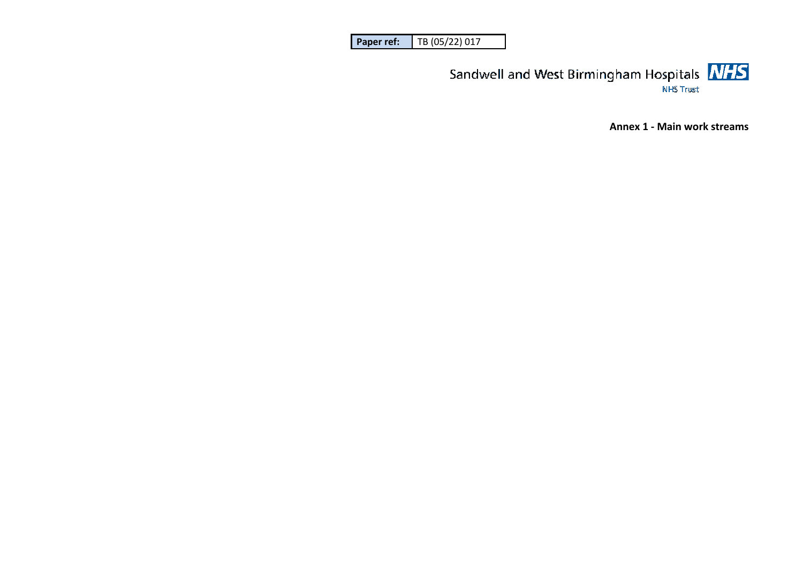| l Paper ref: | TB (05/22) 017 |
|--------------|----------------|
|--------------|----------------|



**Annex 1 - Main work streams**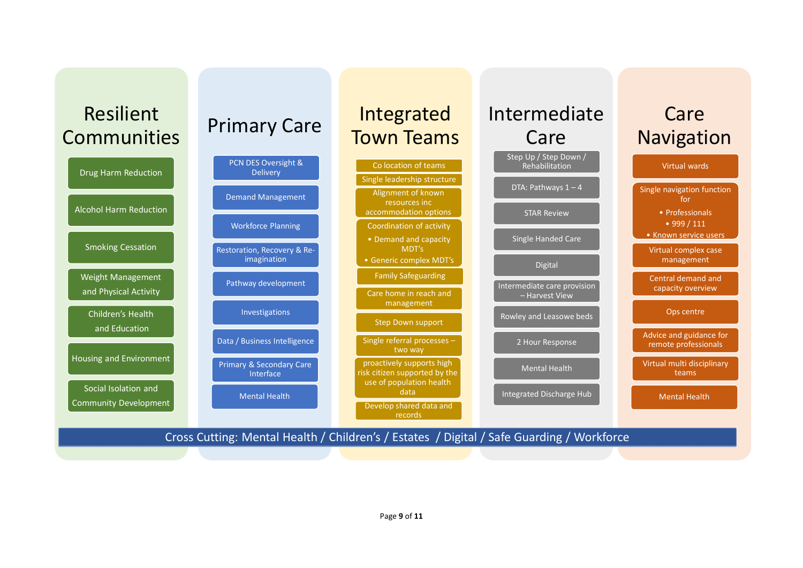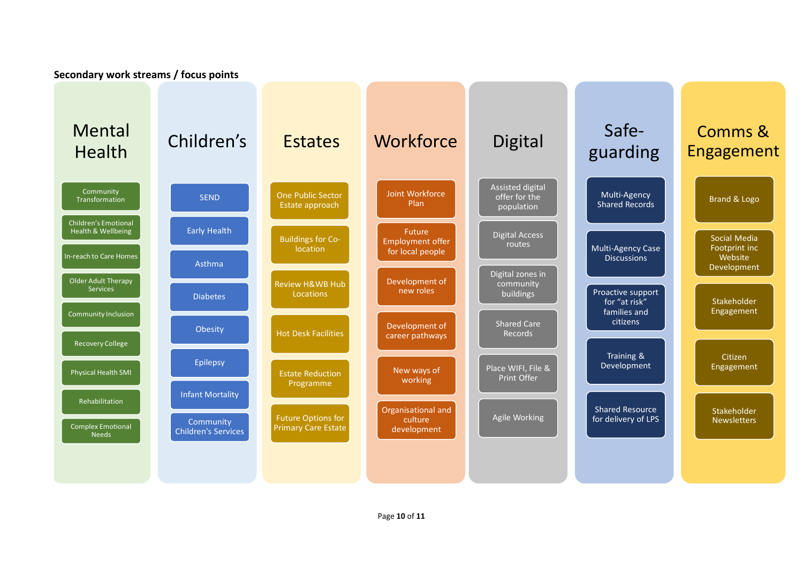